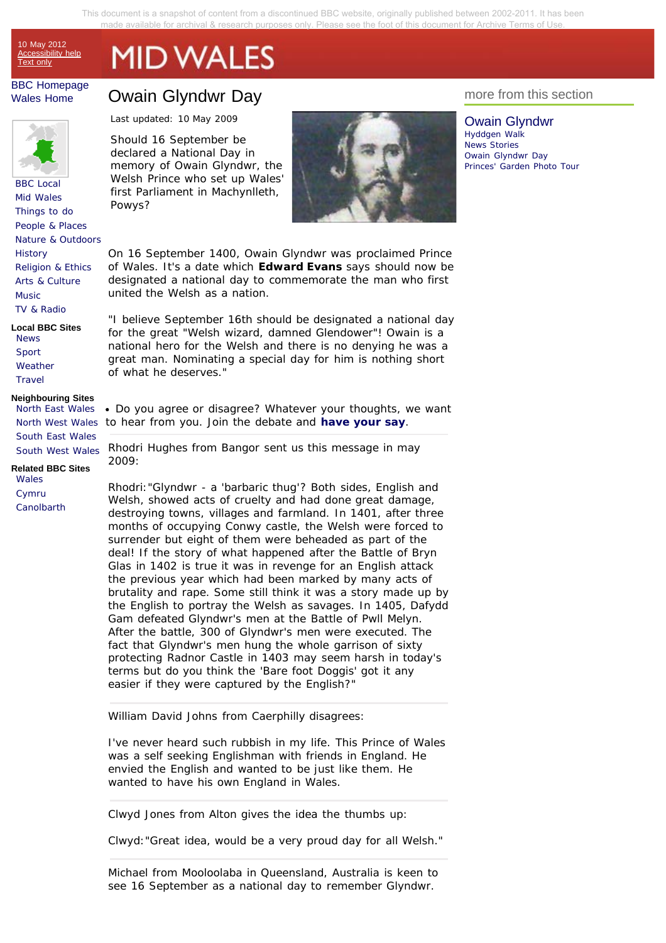This document is a snapshot of content from a discontinued BBC website, originally published between 2002-2011. It has been made available for archival & research purposes onl[y. Please see the foot of this document for Archive Terms of Use.](#page-19-0) 

10 May 2012 Accessibility help Text only

# **MID WALES**

# BBC Homepage Wales Home



BBC Local Mid Wales Things to do People & Places Nature & Outdoors **History** Religion & Ethics Arts & Culture **Music** TV & Radio

**Local BBC Sites** News Sport **Weather Travel** 

#### **Neighbouring Sites**

North East Wales South East Wales South West Wales

**Related BBC Sites** Wales Cymru **Canolbarth** 

# Owain Glyndwr Day

Last updated: 10 May 2009

Should 16 September be declared a National Day in memory of Owain Glyndwr, the Welsh Prince who set up Wales' first Parliament in Machynlleth, Powys?



On 16 September 1400, Owain Glyndwr was proclaimed Prince of Wales. It's a date which **Edward Evans** says should now be designated a national day to commemorate the man who first united the Welsh as a nation.

"I believe September 16th should be designated a national day for the great "Welsh wizard, damned Glendower"! Owain is a national hero for the Welsh and there is no denying he was a great man. Nominating a special day for him is nothing short of what he deserves."

North West Wales to hear from you. Join the debate and **have your say**. Do you agree or disagree? Whatever your thoughts, we want

> Rhodri Hughes from Bangor sent us this message in may 2009:

Rhodri:"Glyndwr - a 'barbaric thug'? Both sides, English and Welsh, showed acts of cruelty and had done great damage, destroying towns, villages and farmland. In 1401, after three months of occupying Conwy castle, the Welsh were forced to surrender but eight of them were beheaded as part of the deal! If the story of what happened after the Battle of Bryn Glas in 1402 is true it was in revenge for an English attack the previous year which had been marked by many acts of brutality and rape. Some still think it was a story made up by the English to portray the Welsh as savages. In 1405, Dafydd Gam defeated Glyndwr's men at the Battle of Pwll Melyn. After the battle, 300 of Glyndwr's men were executed. The fact that Glyndwr's men hung the whole garrison of sixty protecting Radnor Castle in 1403 may seem harsh in today's terms but do you think the 'Bare foot Doggis' got it any easier if they were captured by the English?"

William David Johns from Caerphilly disagrees:

I've never heard such rubbish in my life. This Prince of Wales was a self seeking Englishman with friends in England. He envied the English and wanted to be just like them. He wanted to have his own England in Wales.

Clwyd Jones from Alton gives the idea the thumbs up:

Clwyd:"Great idea, would be a very proud day for all Welsh."

Michael from Mooloolaba in Queensland, Australia is keen to see 16 September as a national day to remember Glyndwr.

# more from this section

Owain Glyndwr Hyddgen Walk News Stories Owain Glyndwr Day Princes' Garden Photo Tour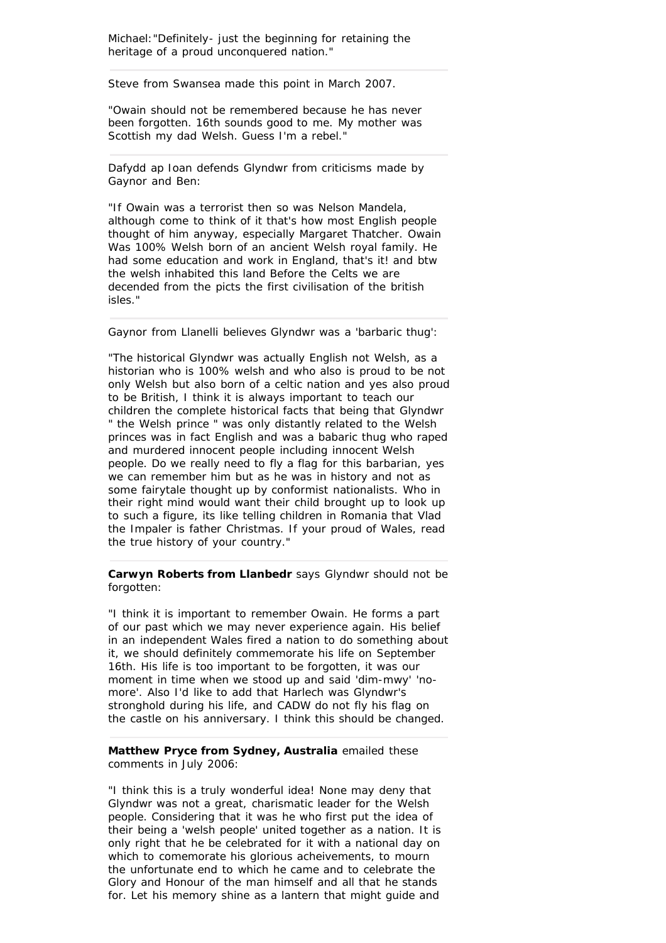Michael:"Definitely- just the beginning for retaining the heritage of a proud unconquered nation."

Steve from Swansea made this point in March 2007.

"Owain should not be remembered because he has never been forgotten. 16th sounds good to me. My mother was Scottish my dad Welsh. Guess I'm a rebel."

Dafydd ap Ioan defends Glyndwr from criticisms made by Gaynor and Ben:

"If Owain was a terrorist then so was Nelson Mandela, although come to think of it that's how most English people thought of him anyway, especially Margaret Thatcher. Owain Was 100% Welsh born of an ancient Welsh royal family. He had some education and work in England, that's it! and btw the welsh inhabited this land Before the Celts we are decended from the picts the first civilisation of the british isles."

Gaynor from Llanelli believes Glyndwr was a 'barbaric thug':

"The historical Glyndwr was actually English not Welsh, as a historian who is 100% welsh and who also is proud to be not only Welsh but also born of a celtic nation and yes also proud to be British, I think it is always important to teach our children the complete historical facts that being that Glyndwr " the Welsh prince " was only distantly related to the Welsh princes was in fact English and was a babaric thug who raped and murdered innocent people including innocent Welsh people. Do we really need to fly a flag for this barbarian, yes we can remember him but as he was in history and not as some fairytale thought up by conformist nationalists. Who in their right mind would want their child brought up to look up to such a figure, its like telling children in Romania that Vlad the Impaler is father Christmas. If your proud of Wales, read the true history of your country."

# **Carwyn Roberts from Llanbedr** says Glyndwr should not be forgotten:

"I think it is important to remember Owain. He forms a part of our past which we may never experience again. His belief in an independent Wales fired a nation to do something about it, we should definitely commemorate his life on September 16th. His life is too important to be forgotten, it was our moment in time when we stood up and said 'dim-mwy' 'nomore'. Also I'd like to add that Harlech was Glyndwr's stronghold during his life, and CADW do not fly his flag on the castle on his anniversary. I think this should be changed.

# **Matthew Pryce from Sydney, Australia** emailed these comments in July 2006:

"I think this is a truly wonderful idea! None may deny that Glyndwr was not a great, charismatic leader for the Welsh people. Considering that it was he who first put the idea of their being a 'welsh people' united together as a nation. It is only right that he be celebrated for it with a national day on which to comemorate his glorious acheivements, to mourn the unfortunate end to which he came and to celebrate the Glory and Honour of the man himself and all that he stands for. Let his memory shine as a lantern that might guide and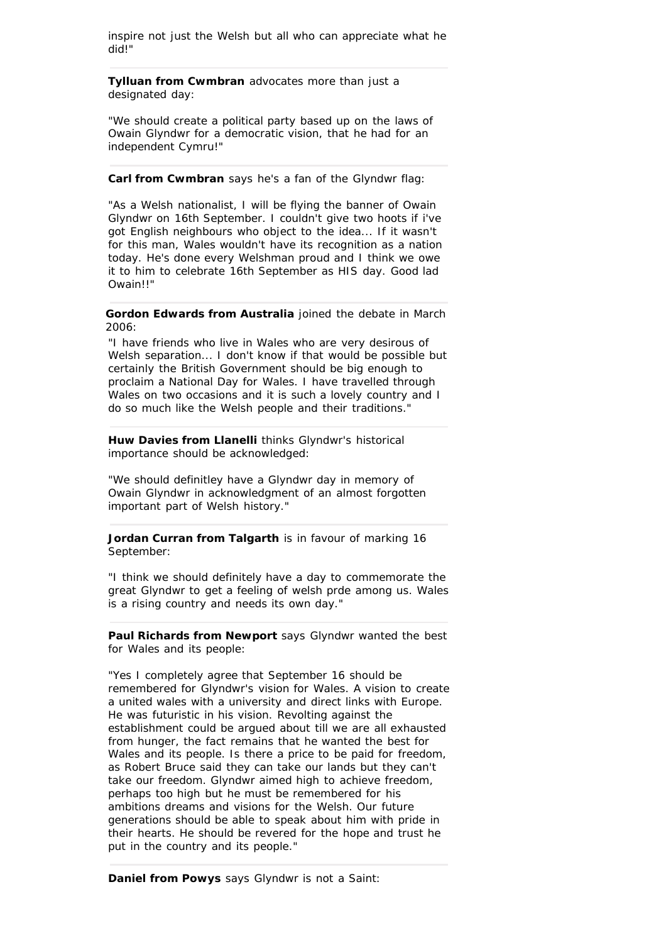inspire not just the Welsh but all who can appreciate what he did!"

**Tylluan from Cwmbran** advocates more than just a designated day:

"We should create a political party based up on the laws of Owain Glyndwr for a democratic vision, that he had for an independent Cymru!"

# **Carl from Cwmbran** says he's a fan of the Glyndwr flag:

"As a Welsh nationalist, I will be flying the banner of Owain Glyndwr on 16th September. I couldn't give two hoots if i've got English neighbours who object to the idea... If it wasn't for this man, Wales wouldn't have its recognition as a nation today. He's done every Welshman proud and I think we owe it to him to celebrate 16th September as HIS day. Good lad Owain!!"

# **Gordon Edwards from Australia** joined the debate in March 2006:

"I have friends who live in Wales who are very desirous of Welsh separation... I don't know if that would be possible but certainly the British Government should be big enough to proclaim a National Day for Wales. I have travelled through Wales on two occasions and it is such a lovely country and I do so much like the Welsh people and their traditions."

**Huw Davies from Llanelli** thinks Glyndwr's historical importance should be acknowledged:

"We should definitley have a Glyndwr day in memory of Owain Glyndwr in acknowledgment of an almost forgotten important part of Welsh history."

**Jordan Curran from Talgarth** is in favour of marking 16 September:

"I think we should definitely have a day to commemorate the great Glyndwr to get a feeling of welsh prde among us. Wales is a rising country and needs its own day."

**Paul Richards from Newport** says Glyndwr wanted the best for Wales and its people:

"Yes I completely agree that September 16 should be remembered for Glyndwr's vision for Wales. A vision to create a united wales with a university and direct links with Europe. He was futuristic in his vision. Revolting against the establishment could be argued about till we are all exhausted from hunger, the fact remains that he wanted the best for Wales and its people. Is there a price to be paid for freedom, as Robert Bruce said they can take our lands but they can't take our freedom. Glyndwr aimed high to achieve freedom, perhaps too high but he must be remembered for his ambitions dreams and visions for the Welsh. Our future generations should be able to speak about him with pride in their hearts. He should be revered for the hope and trust he put in the country and its people."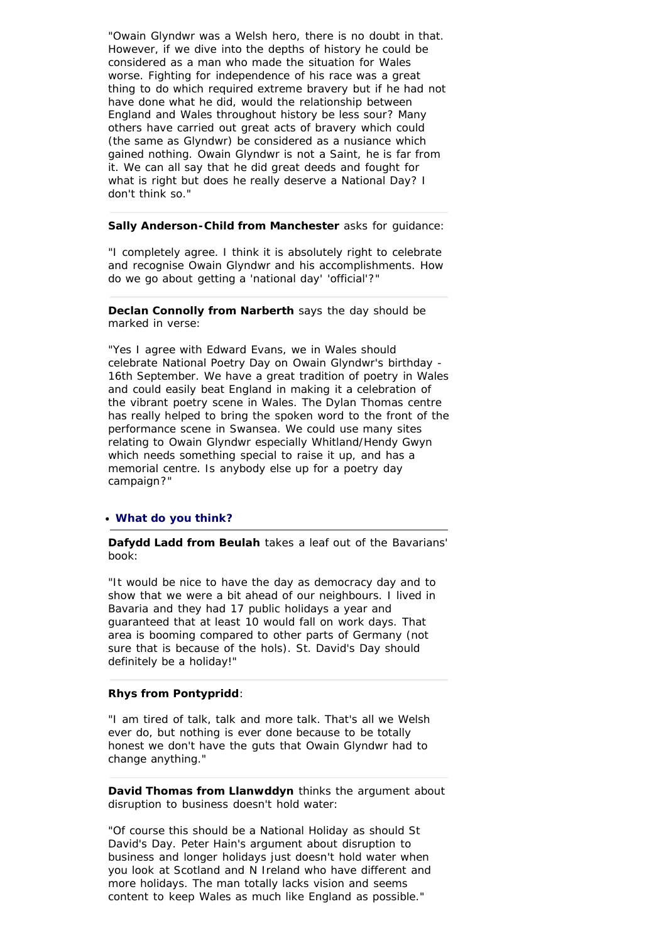"Owain Glyndwr was a Welsh hero, there is no doubt in that. However, if we dive into the depths of history he could be considered as a man who made the situation for Wales worse. Fighting for independence of his race was a great thing to do which required extreme bravery but if he had not have done what he did, would the relationship between England and Wales throughout history be less sour? Many others have carried out great acts of bravery which could (the same as Glyndwr) be considered as a nusiance which gained nothing. Owain Glyndwr is not a Saint, he is far from it. We can all say that he did great deeds and fought for what is right but does he really deserve a National Day? I don't think so."

# **Sally Anderson-Child from Manchester** asks for guidance:

"I completely agree. I think it is absolutely right to celebrate and recognise Owain Glyndwr and his accomplishments. How do we go about getting a 'national day' 'official'?"

**Declan Connolly from Narberth** says the day should be marked in verse:

"Yes I agree with Edward Evans, we in Wales should celebrate National Poetry Day on Owain Glyndwr's birthday - 16th September. We have a great tradition of poetry in Wales and could easily beat England in making it a celebration of the vibrant poetry scene in Wales. The Dylan Thomas centre has really helped to bring the spoken word to the front of the performance scene in Swansea. We could use many sites relating to Owain Glyndwr especially Whitland/Hendy Gwyn which needs something special to raise it up, and has a memorial centre. Is anybody else up for a poetry day campaign?"

#### **What do you think?**

**Dafydd Ladd from Beulah** takes a leaf out of the Bavarians' book:

"It would be nice to have the day as democracy day and to show that we were a bit ahead of our neighbours. I lived in Bavaria and they had 17 public holidays a year and guaranteed that at least 10 would fall on work days. That area is booming compared to other parts of Germany (not sure that is because of the hols). St. David's Day should definitely be a holiday!"

# **Rhys from Pontypridd**:

"I am tired of talk, talk and more talk. That's all we Welsh ever do, but nothing is ever done because to be totally honest we don't have the guts that Owain Glyndwr had to change anything."

**David Thomas from Llanwddyn** thinks the argument about disruption to business doesn't hold water:

"Of course this should be a National Holiday as should St David's Day. Peter Hain's argument about disruption to business and longer holidays just doesn't hold water when you look at Scotland and N Ireland who have different and more holidays. The man totally lacks vision and seems content to keep Wales as much like England as possible."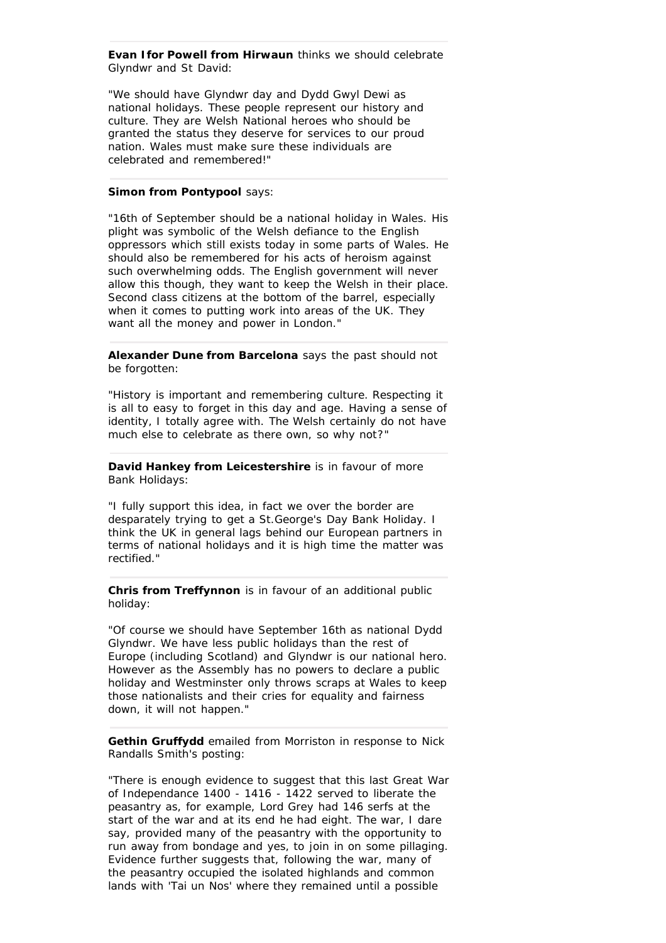**Evan Ifor Powell from Hirwaun** thinks we should celebrate Glyndwr and St David:

"We should have Glyndwr day and Dydd Gwyl Dewi as national holidays. These people represent our history and culture. They are Welsh National heroes who should be granted the status they deserve for services to our proud nation. Wales must make sure these individuals are celebrated and remembered!"

# **Simon from Pontypool** says:

"16th of September should be a national holiday in Wales. His plight was symbolic of the Welsh defiance to the English oppressors which still exists today in some parts of Wales. He should also be remembered for his acts of heroism against such overwhelming odds. The English government will never allow this though, they want to keep the Welsh in their place. Second class citizens at the bottom of the barrel, especially when it comes to putting work into areas of the UK. They want all the money and power in London."

**Alexander Dune from Barcelona** says the past should not be forgotten:

"History is important and remembering culture. Respecting it is all to easy to forget in this day and age. Having a sense of identity, I totally agree with. The Welsh certainly do not have much else to celebrate as there own, so why not?"

**David Hankey from Leicestershire** is in favour of more Bank Holidays:

"I fully support this idea, in fact we over the border are desparately trying to get a St.George's Day Bank Holiday. I think the UK in general lags behind our European partners in terms of national holidays and it is high time the matter was rectified."

**Chris from Treffynnon** is in favour of an additional public holiday:

"Of course we should have September 16th as national Dydd Glyndwr. We have less public holidays than the rest of Europe (including Scotland) and Glyndwr is our national hero. However as the Assembly has no powers to declare a public holiday and Westminster only throws scraps at Wales to keep those nationalists and their cries for equality and fairness down, it will not happen."

**Gethin Gruffydd** emailed from Morriston in response to Nick Randalls Smith's posting:

"There is enough evidence to suggest that this last Great War of Independance 1400 - 1416 - 1422 served to liberate the peasantry as, for example, Lord Grey had 146 serfs at the start of the war and at its end he had eight. The war, I dare say, provided many of the peasantry with the opportunity to run away from bondage and yes, to join in on some pillaging. Evidence further suggests that, following the war, many of the peasantry occupied the isolated highlands and common lands with 'Tai un Nos' where they remained until a possible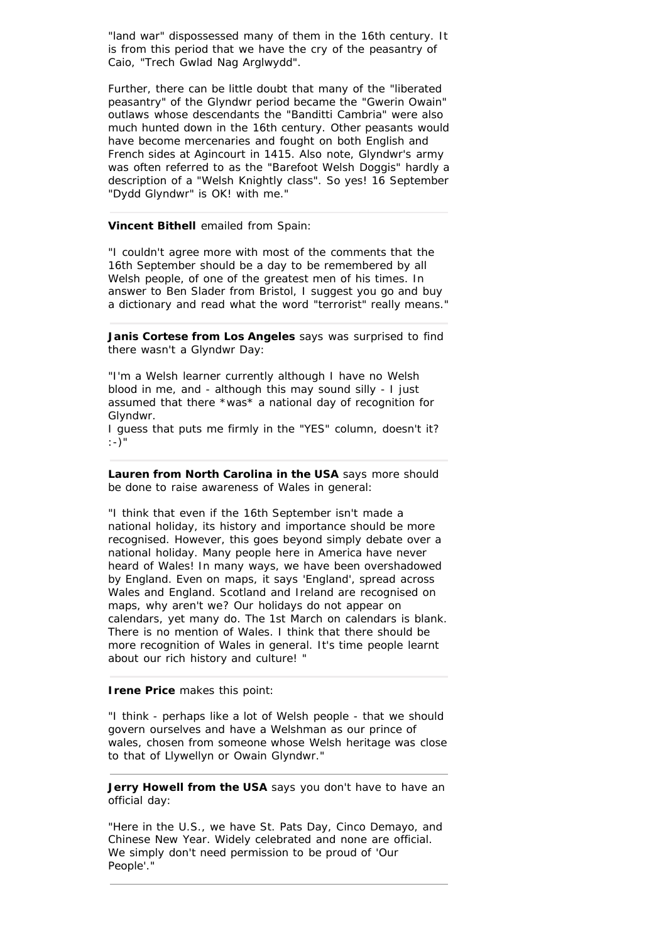"land war" dispossessed many of them in the 16th century. It is from this period that we have the cry of the peasantry of Caio, "Trech Gwlad Nag Arglwydd".

Further, there can be little doubt that many of the "liberated peasantry" of the Glyndwr period became the "Gwerin Owain" outlaws whose descendants the "Banditti Cambria" were also much hunted down in the 16th century. Other peasants would have become mercenaries and fought on both English and French sides at Agincourt in 1415. Also note, Glyndwr's army was often referred to as the "Barefoot Welsh Doggis" hardly a description of a "Welsh Knightly class". So yes! 16 September "Dydd Glyndwr" is OK! with me."

# **Vincent Bithell** emailed from Spain:

"I couldn't agree more with most of the comments that the 16th September should be a day to be remembered by all Welsh people, of one of the greatest men of his times. In answer to Ben Slader from Bristol, I suggest you go and buy a dictionary and read what the word "terrorist" really means."

**Janis Cortese from Los Angeles** says was surprised to find there wasn't a Glyndwr Day:

"I'm a Welsh learner currently although I have no Welsh blood in me, and - although this may sound silly - I just assumed that there \*was\* a national day of recognition for Glyndwr.

I guess that puts me firmly in the "YES" column, doesn't it? :-)"

**Lauren from North Carolina in the USA** says more should be done to raise awareness of Wales in general:

"I think that even if the 16th September isn't made a national holiday, its history and importance should be more recognised. However, this goes beyond simply debate over a national holiday. Many people here in America have never heard of Wales! In many ways, we have been overshadowed by England. Even on maps, it says 'England', spread across Wales and England. Scotland and Ireland are recognised on maps, why aren't we? Our holidays do not appear on calendars, yet many do. The 1st March on calendars is blank. There is no mention of Wales. I think that there should be more recognition of Wales in general. It's time people learnt about our rich history and culture! "

# **Irene Price** makes this point:

"I think - perhaps like a lot of Welsh people - that we should govern ourselves and have a Welshman as our prince of wales, chosen from someone whose Welsh heritage was close to that of Llywellyn or Owain Glyndwr."

**Jerry Howell from the USA** says you don't have to have an official day:

"Here in the U.S., we have St. Pats Day, Cinco Demayo, and Chinese New Year. Widely celebrated and none are official. We simply don't need permission to be proud of 'Our People'."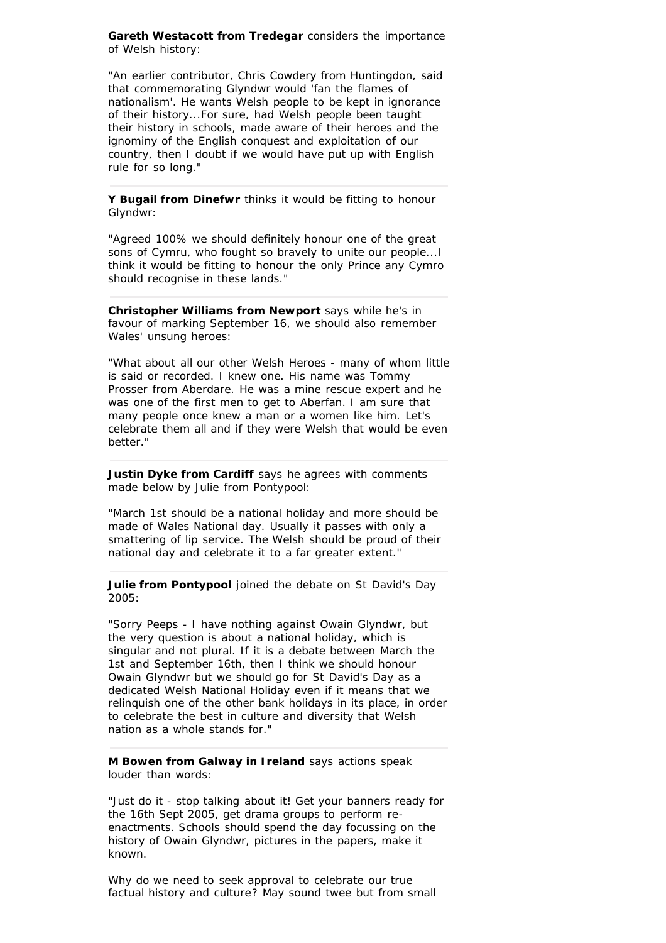**Gareth Westacott from Tredegar** considers the importance of Welsh history:

"An earlier contributor, Chris Cowdery from Huntingdon, said that commemorating Glyndwr would 'fan the flames of nationalism'. He wants Welsh people to be kept in ignorance of their history...For sure, had Welsh people been taught their history in schools, made aware of their heroes and the ignominy of the English conquest and exploitation of our country, then I doubt if we would have put up with English rule for so long."

**Y Bugail from Dinefwr** thinks it would be fitting to honour Glyndwr:

"Agreed 100% we should definitely honour one of the great sons of Cymru, who fought so bravely to unite our people...I think it would be fitting to honour the only Prince any Cymro should recognise in these lands."

**Christopher Williams from Newport** says while he's in favour of marking September 16, we should also remember Wales' unsung heroes:

"What about all our other Welsh Heroes - many of whom little is said or recorded. I knew one. His name was Tommy Prosser from Aberdare. He was a mine rescue expert and he was one of the first men to get to Aberfan. I am sure that many people once knew a man or a women like him. Let's celebrate them all and if they were Welsh that would be even better."

**Justin Dyke from Cardiff** says he agrees with comments made below by Julie from Pontypool:

"March 1st should be a national holiday and more should be made of Wales National day. Usually it passes with only a smattering of lip service. The Welsh should be proud of their national day and celebrate it to a far greater extent."

**Julie from Pontypool** joined the debate on St David's Day 2005:

"Sorry Peeps - I have nothing against Owain Glyndwr, but the very question is about a national holiday, which is singular and not plural. If it is a debate between March the 1st and September 16th, then I think we should honour Owain Glyndwr but we should go for St David's Day as a dedicated Welsh National Holiday even if it means that we relinquish one of the other bank holidays in its place, in order to celebrate the best in culture and diversity that Welsh nation as a whole stands for."

**M Bowen from Galway in Ireland** says actions speak louder than words:

"Just do it - stop talking about it! Get your banners ready for the 16th Sept 2005, get drama groups to perform reenactments. Schools should spend the day focussing on the history of Owain Glyndwr, pictures in the papers, make it known.

Why do we need to seek approval to celebrate our true factual history and culture? May sound twee but from small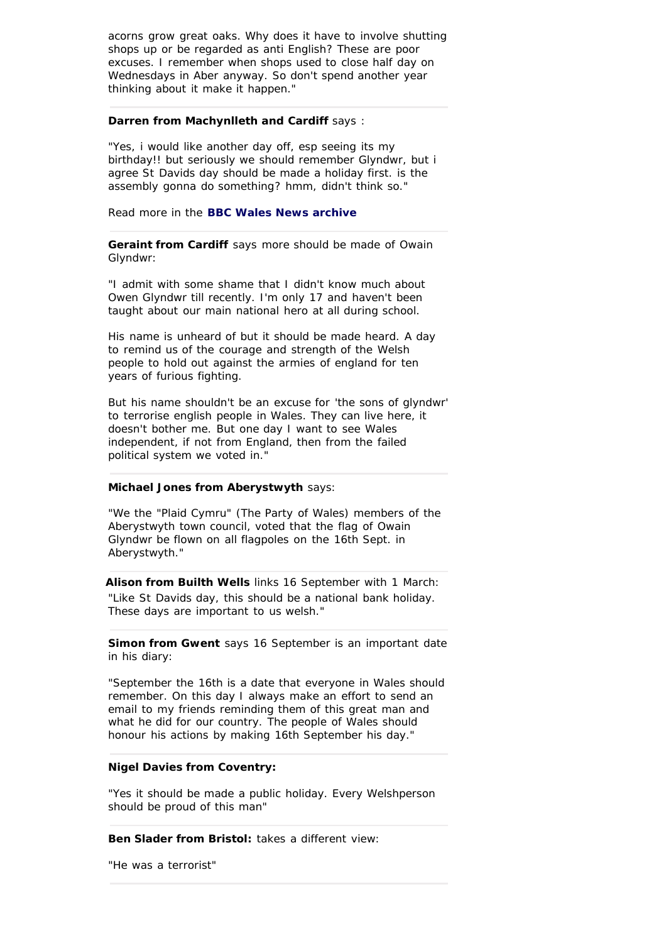acorns grow great oaks. Why does it have to involve shutting shops up or be regarded as anti English? These are poor excuses. I remember when shops used to close half day on Wednesdays in Aber anyway. So don't spend another year thinking about it make it happen."

# **Darren from Machynlleth and Cardiff says:**

"Yes, i would like another day off, esp seeing its my birthday!! but seriously we should remember Glyndwr, but i agree St Davids day should be made a holiday first. is the assembly gonna do something? hmm, didn't think so."

Read more in the **BBC Wales News archive**

**Geraint from Cardiff** says more should be made of Owain Glyndwr:

"I admit with some shame that I didn't know much about Owen Glyndwr till recently. I'm only 17 and haven't been taught about our main national hero at all during school.

His name is unheard of but it should be made heard. A day to remind us of the courage and strength of the Welsh people to hold out against the armies of england for ten years of furious fighting.

But his name shouldn't be an excuse for 'the sons of glyndwr' to terrorise english people in Wales. They can live here, it doesn't bother me. But one day I want to see Wales independent, if not from England, then from the failed political system we voted in."

# **Michael Jones from Aberystwyth** says:

"We the "Plaid Cymru" (The Party of Wales) members of the Aberystwyth town council, voted that the flag of Owain Glyndwr be flown on all flagpoles on the 16th Sept. in Aberystwyth."

**Alison from Builth Wells** links 16 September with 1 March: "Like St Davids day, this should be a national bank holiday. These days are important to us welsh."

**Simon from Gwent** says 16 September is an important date in his diary:

"September the 16th is a date that everyone in Wales should remember. On this day I always make an effort to send an email to my friends reminding them of this great man and what he did for our country. The people of Wales should honour his actions by making 16th September his day."

# **Nigel Davies from Coventry:**

"Yes it should be made a public holiday. Every Welshperson should be proud of this man"

**Ben Slader from Bristol:** takes a different view:

"He was a terrorist"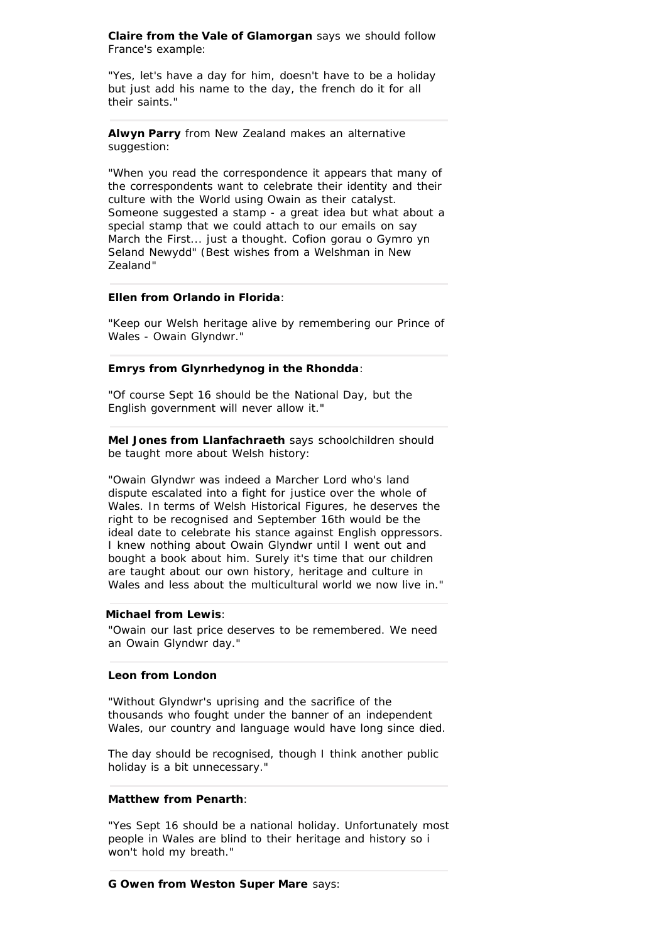**Claire from the Vale of Glamorgan** says we should follow France's example:

"Yes, let's have a day for him, doesn't have to be a holiday but just add his name to the day, the french do it for all their saints."

**Alwyn Parry** from New Zealand makes an alternative suggestion:

"When you read the correspondence it appears that many of the correspondents want to celebrate their identity and their culture with the World using Owain as their catalyst. Someone suggested a stamp - a great idea but what about a special stamp that we could attach to our emails on say March the First... just a thought. Cofion gorau o Gymro yn Seland Newydd" (*Best wishes from a Welshman in New Zealand*"

# **Ellen from Orlando in Florida**:

"Keep our Welsh heritage alive by remembering our Prince of Wales - Owain Glyndwr."

# **Emrys from Glynrhedynog in the Rhondda**:

"Of course Sept 16 should be the National Day, but the English government will never allow it."

**Mel Jones from Llanfachraeth** says schoolchildren should be taught more about Welsh history:

"Owain Glyndwr was indeed a Marcher Lord who's land dispute escalated into a fight for justice over the whole of Wales. In terms of Welsh Historical Figures, he deserves the right to be recognised and September 16th would be the ideal date to celebrate his stance against English oppressors. I knew nothing about Owain Glyndwr until I went out and bought a book about him. Surely it's time that our children are taught about our own history, heritage and culture in Wales and less about the multicultural world we now live in."

# **Michael from Lewis**:

"Owain our last price deserves to be remembered. We need an Owain Glyndwr day."

#### **Leon from London**

"Without Glyndwr's uprising and the sacrifice of the thousands who fought under the banner of an independent Wales, our country and language would have long since died.

The day should be recognised, though I think another public holiday is a bit unnecessary."

#### **Matthew from Penarth**:

"Yes Sept 16 should be a national holiday. Unfortunately most people in Wales are blind to their heritage and history so i won't hold my breath."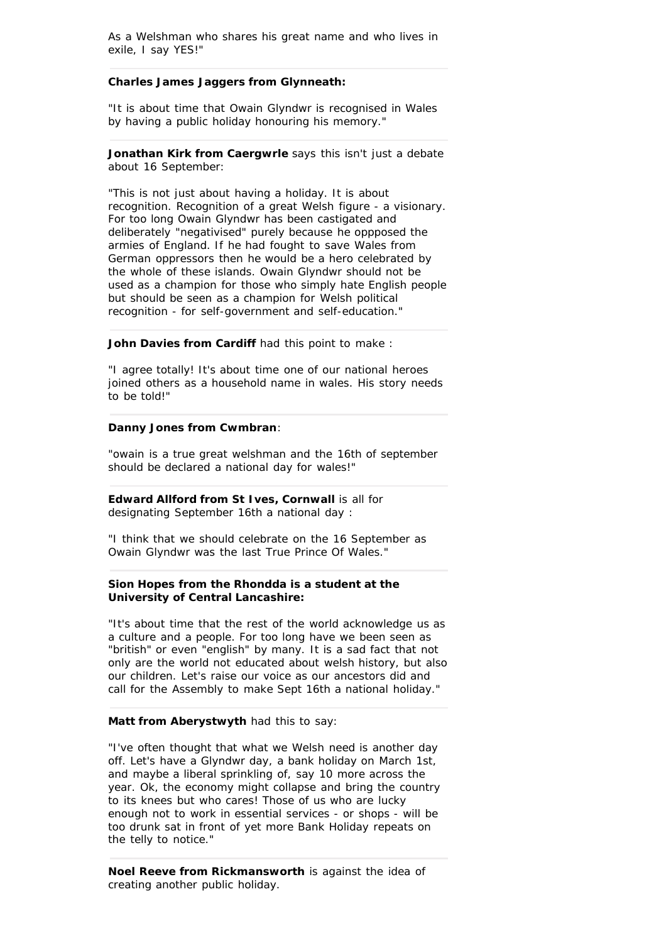As a Welshman who shares his great name and who lives in exile, I say YES!"

# **Charles James Jaggers from Glynneath:**

"It is about time that Owain Glyndwr is recognised in Wales by having a public holiday honouring his memory."

**Jonathan Kirk from Caergwrle** says this isn't just a debate about 16 September:

"This is not just about having a holiday. It is about recognition. Recognition of a great Welsh figure - a visionary. For too long Owain Glyndwr has been castigated and deliberately "negativised" purely because he oppposed the armies of England. If he had fought to save Wales from German oppressors then he would be a hero celebrated by the whole of these islands. Owain Glyndwr should not be used as a champion for those who simply hate English people but should be seen as a champion for Welsh political recognition - for self-government and self-education."

# **John Davies from Cardiff had this point to make :**

"I agree totally! It's about time one of our national heroes joined others as a household name in wales. His story needs to be told!"

#### **Danny Jones from Cwmbran**:

"owain is a true great welshman and the 16th of september should be declared a national day for wales!"

**Edward Allford from St Ives, Cornwall is all for** designating September 16th a national day :

"I think that we should celebrate on the 16 September as Owain Glyndwr was the last True Prince Of Wales."

# **Sion Hopes from the Rhondda is a student at the University of Central Lancashire:**

"It's about time that the rest of the world acknowledge us as a culture and a people. For too long have we been seen as "british" or even "english" by many. It is a sad fact that not only are the world not educated about welsh history, but also our children. Let's raise our voice as our ancestors did and call for the Assembly to make Sept 16th a national holiday."

#### **Matt from Aberystwyth** had this to say:

"I've often thought that what we Welsh need is another day off. Let's have a Glyndwr day, a bank holiday on March 1st, and maybe a liberal sprinkling of, say 10 more across the year. Ok, the economy might collapse and bring the country to its knees but who cares! Those of us who are lucky enough not to work in essential services - or shops - will be too drunk sat in front of yet more Bank Holiday repeats on the telly to notice."

**Noel Reeve from Rickmansworth** is against the idea of creating another public holiday.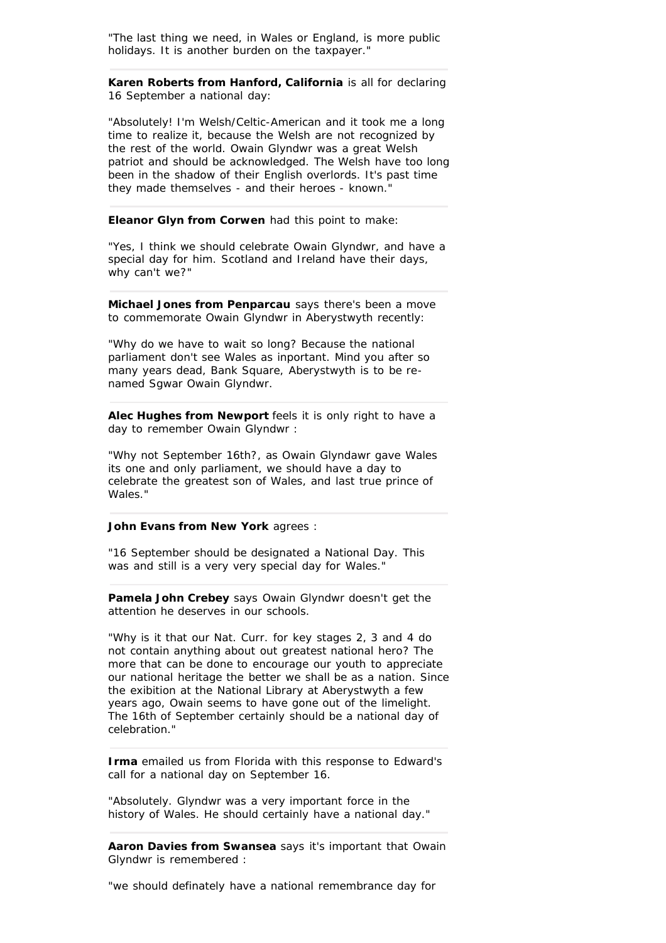"The last thing we need, in Wales or England, is more public holidays. It is another burden on the taxpayer."

**Karen Roberts from Hanford, California** is all for declaring 16 September a national day:

"Absolutely! I'm Welsh/Celtic-American and it took me a long time to realize it, because the Welsh are not recognized by the rest of the world. Owain Glyndwr was a great Welsh patriot and should be acknowledged. The Welsh have too long been in the shadow of their English overlords. It's past time they made themselves - and their heroes - known."

**Eleanor Glyn from Corwen** had this point to make:

"Yes, I think we should celebrate Owain Glyndwr, and have a special day for him. Scotland and Ireland have their days, why can't we?"

**Michael Jones from Penparcau** says there's been a move to commemorate Owain Glyndwr in Aberystwyth recently:

"Why do we have to wait so long? Because the national parliament don't see Wales as inportant. Mind you after so many years dead, Bank Square, Aberystwyth is to be renamed Sgwar Owain Glyndwr.

**Alec Hughes from Newport** feels it is only right to have a day to remember Owain Glyndwr :

"Why not September 16th?, as Owain Glyndawr gave Wales its one and only parliament, we should have a day to celebrate the greatest son of Wales, and last true prince of Wales."

#### **John Evans from New York** agrees :

"16 September should be designated a National Day. This was and still is a very very special day for Wales."

**Pamela John Crebey** says Owain Glyndwr doesn't get the attention he deserves in our schools.

"Why is it that our Nat. Curr. for key stages 2, 3 and 4 do not contain anything about out greatest national hero? The more that can be done to encourage our youth to appreciate our national heritage the better we shall be as a nation. Since the exibition at the National Library at Aberystwyth a few years ago, Owain seems to have gone out of the limelight. The 16th of September certainly should be a national day of celebration."

**Irma** emailed us from Florida with this response to Edward's call for a national day on September 16.

"Absolutely. Glyndwr was a very important force in the history of Wales. He should certainly have a national day."

**Aaron Davies from Swansea** says it's important that Owain Glyndwr is remembered :

"we should definately have a national remembrance day for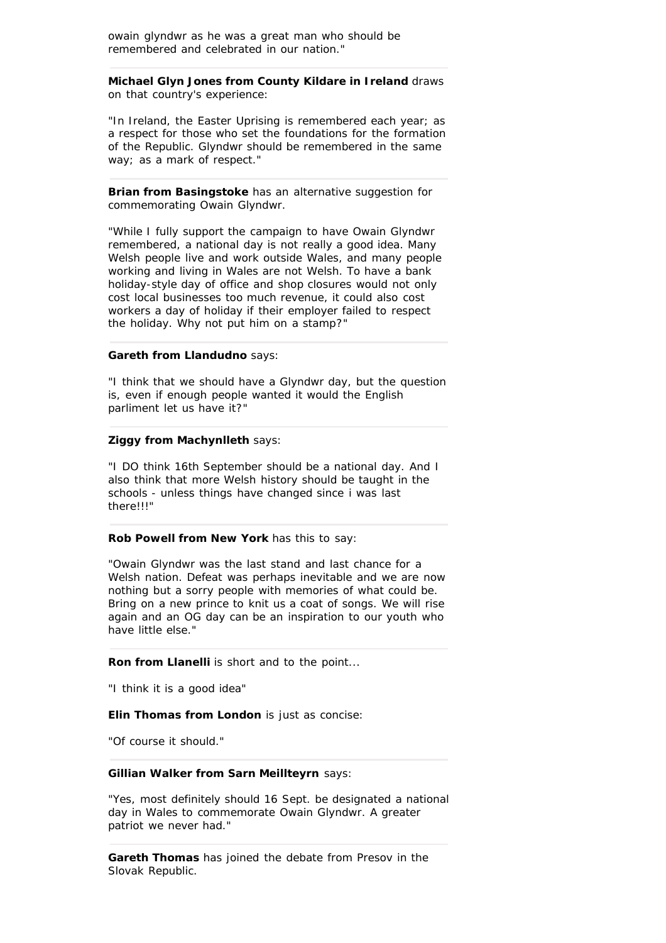owain glyndwr as he was a great man who should be remembered and celebrated in our nation."

**Michael Glyn Jones from County Kildare in Ireland** draws on that country's experience:

"In Ireland, the Easter Uprising is remembered each year; as a respect for those who set the foundations for the formation of the Republic. Glyndwr should be remembered in the same way; as a mark of respect."

**Brian from Basingstoke** has an alternative suggestion for commemorating Owain Glyndwr.

"While I fully support the campaign to have Owain Glyndwr remembered, a national day is not really a good idea. Many Welsh people live and work outside Wales, and many people working and living in Wales are not Welsh. To have a bank holiday-style day of office and shop closures would not only cost local businesses too much revenue, it could also cost workers a day of holiday if their employer failed to respect the holiday. Why not put him on a stamp?"

#### **Gareth from Llandudno** says:

"I think that we should have a Glyndwr day, but the question is, even if enough people wanted it would the English parliment let us have it?"

# **Ziggy from Machynlleth** says:

"I DO think 16th September should be a national day. And I also think that more Welsh history should be taught in the schools - unless things have changed since i was last there!!!"

#### **Rob Powell from New York** has this to say:

"Owain Glyndwr was the last stand and last chance for a Welsh nation. Defeat was perhaps inevitable and we are now nothing but a sorry people with memories of what could be. Bring on a new prince to knit us a coat of songs. We will rise again and an OG day can be an inspiration to our youth who have little else."

**Ron from Llanelli** is short and to the point...

"I think it is a good idea"

**Elin Thomas from London** is just as concise:

"Of course it should."

#### **Gillian Walker from Sarn Meillteyrn** says:

"Yes, most definitely should 16 Sept. be designated a national day in Wales to commemorate Owain Glyndwr. A greater patriot we never had."

**Gareth Thomas** has joined the debate from Presov in the Slovak Republic.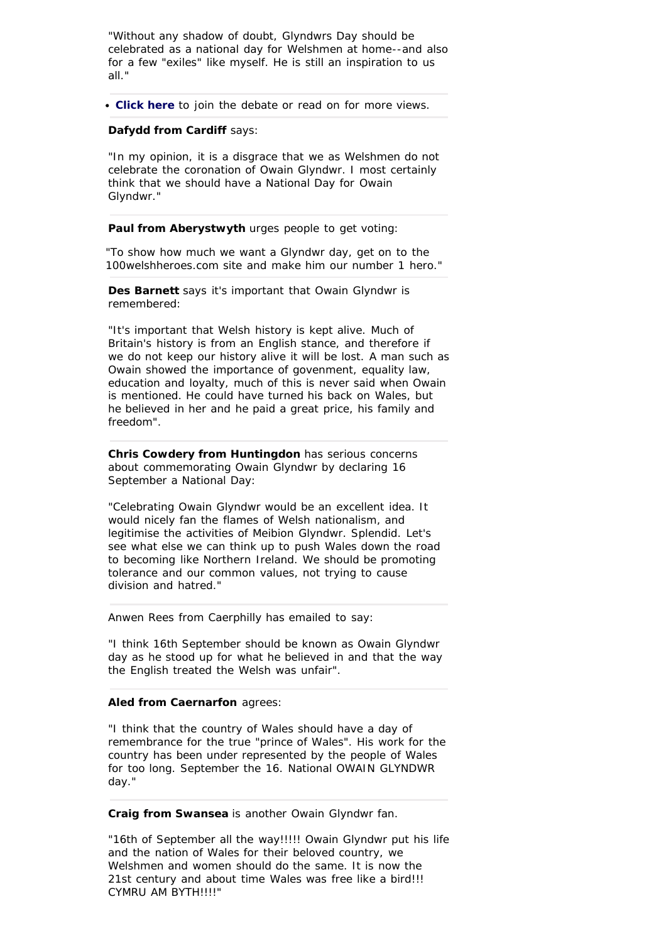"Without any shadow of doubt, Glyndwrs Day should be celebrated as a national day for Welshmen at home--and also for a few "exiles" like myself. He is still an inspiration to us all."

**[Click here](http://www.bbc.co.uk/wales/mid/yoursay/popup/yoursay-pop.shtml?yoursay-glyndwr)** to join the debate or read on for more views.

# **Dafydd from Cardiff** says:

"In my opinion, it is a disgrace that we as Welshmen do not celebrate the coronation of Owain Glyndwr. I most certainly think that we should have a National Day for Owain Glyndwr."

Paul from Aberystwyth urges people to get voting:

"To show how much we want a Glyndwr day, get on to the 100welshheroes.com site and make him our number 1 hero."

**Des Barnett** says it's important that Owain Glyndwr is remembered:

"It's important that Welsh history is kept alive. Much of Britain's history is from an English stance, and therefore if we do not keep our history alive it will be lost. A man such as Owain showed the importance of govenment, equality law, education and loyalty, much of this is never said when Owain is mentioned. He could have turned his back on Wales, but he believed in her and he paid a great price, his family and freedom".

**Chris Cowdery from Huntingdon** has serious concerns about commemorating Owain Glyndwr by declaring 16 September a National Day:

"Celebrating Owain Glyndwr would be an excellent idea. It would nicely fan the flames of Welsh nationalism, and legitimise the activities of Meibion Glyndwr. Splendid. Let's see what else we can think up to push Wales down the road to becoming like Northern Ireland. We should be promoting tolerance and our common values, not trying to cause division and hatred."

Anwen Rees from Caerphilly has emailed to say:

"I think 16th September should be known as Owain Glyndwr day as he stood up for what he believed in and that the way the English treated the Welsh was unfair".

#### **Aled from Caernarfon** agrees:

"I think that the country of Wales should have a day of remembrance for the true "prince of Wales". His work for the country has been under represented by the people of Wales for too long. September the 16. National OWAIN GLYNDWR day."

**Craig from Swansea** is another Owain Glyndwr fan.

"16th of September all the way!!!!! Owain Glyndwr put his life and the nation of Wales for their beloved country, we Welshmen and women should do the same. It is now the 21st century and about time Wales was free like a bird!!! CYMRU AM BYTH!!!!"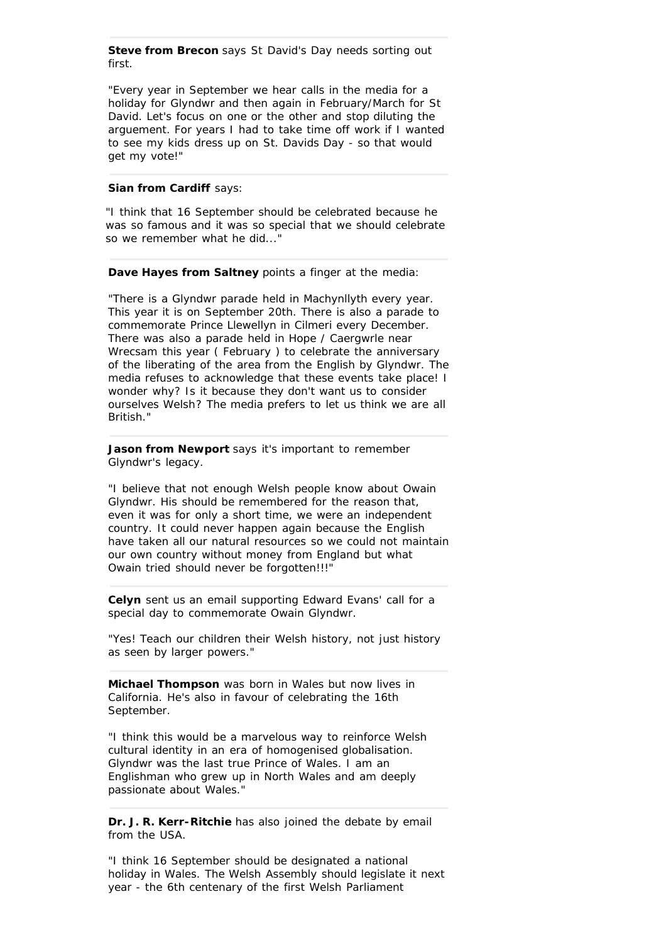**Steve from Brecon** says St David's Day needs sorting out first.

"Every year in September we hear calls in the media for a holiday for Glyndwr and then again in February/March for St David. Let's focus on one or the other and stop diluting the arguement. For years I had to take time off work if I wanted to see my kids dress up on St. Davids Day - so that would get my vote!"

# **Sian from Cardiff** says:

"I think that 16 September should be celebrated because he was so famous and it was so special that we should celebrate so we remember what he did...'

**Dave Hayes from Saltney** points a finger at the media:

"There is a Glyndwr parade held in Machynllyth every year. This year it is on September 20th. There is also a parade to commemorate Prince Llewellyn in Cilmeri every December. There was also a parade held in Hope / Caergwrle near Wrecsam this year ( February ) to celebrate the anniversary of the liberating of the area from the English by Glyndwr. The media refuses to acknowledge that these events take place! I wonder why? Is it because they don't want us to consider ourselves Welsh? The media prefers to let us think we are all British."

**Jason from Newport** says it's important to remember Glyndwr's legacy.

"I believe that not enough Welsh people know about Owain Glyndwr. His should be remembered for the reason that, even it was for only a short time, we were an independent country. It could never happen again because the English have taken all our natural resources so we could not maintain our own country without money from England but what Owain tried should never be forgotten!!!"

**Celyn** sent us an email supporting Edward Evans' call for a special day to commemorate Owain Glyndwr.

"Yes! Teach our children their Welsh history, not just history as seen by larger powers."

**Michael Thompson** was born in Wales but now lives in California. He's also in favour of celebrating the 16th September.

"I think this would be a marvelous way to reinforce Welsh cultural identity in an era of homogenised globalisation. Glyndwr was the last true Prince of Wales. I am an Englishman who grew up in North Wales and am deeply passionate about Wales."

**Dr. J. R. Kerr-Ritchie** has also joined the debate by email from the USA.

"I think 16 September should be designated a national holiday in Wales. The Welsh Assembly should legislate it next year - the 6th centenary of the first Welsh Parliament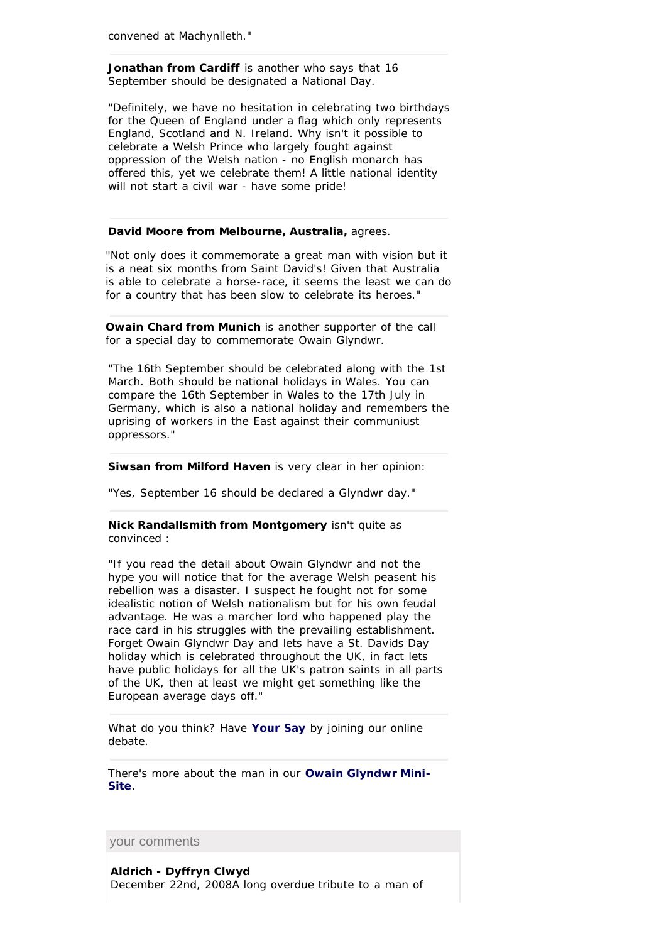**Jonathan from Cardiff** is another who says that 16 September should be designated a National Day.

"Definitely, we have no hesitation in celebrating two birthdays for the Queen of England under a flag which only represents England, Scotland and N. Ireland. Why isn't it possible to celebrate a Welsh Prince who largely fought against oppression of the Welsh nation - no English monarch has offered this, yet we celebrate them! A little national identity will not start a civil war - have some pride!

# **David Moore from Melbourne, Australia,** agrees.

"Not only does it commemorate a great man with vision but it is a neat six months from Saint David's! Given that Australia is able to celebrate a horse-race, it seems the least we can do for a country that has been slow to celebrate its heroes."

**Owain Chard from Munich** is another supporter of the call for a special day to commemorate Owain Glyndwr.

"The 16th September should be celebrated along with the 1st March. Both should be national holidays in Wales. You can compare the 16th September in Wales to the 17th July in Germany, which is also a national holiday and remembers the uprising of workers in the East against their communiust oppressors."

**Siwsan from Milford Haven** is very clear in her opinion:

"Yes, September 16 should be declared a Glyndwr day."

# **Nick Randallsmith from Montgomery** isn't quite as convinced :

"If you read the detail about Owain Glyndwr and not the hype you will notice that for the average Welsh peasent his rebellion was a disaster. I suspect he fought not for some idealistic notion of Welsh nationalism but for his own feudal advantage. He was a marcher lord who happened play the race card in his struggles with the prevailing establishment. Forget Owain Glyndwr Day and lets have a St. Davids Day holiday which is celebrated throughout the UK, in fact lets have public holidays for all the UK's patron saints in all parts of the UK, then at least we might get something like the European average days off."

What do you think? Have **Your Say** by joining our online debate.

There's more about the man in our **Owain Glyndwr Mini-Site**.

your comments

**Aldrich - Dyffryn Clwyd** December 22nd, 2008A long overdue tribute to a man of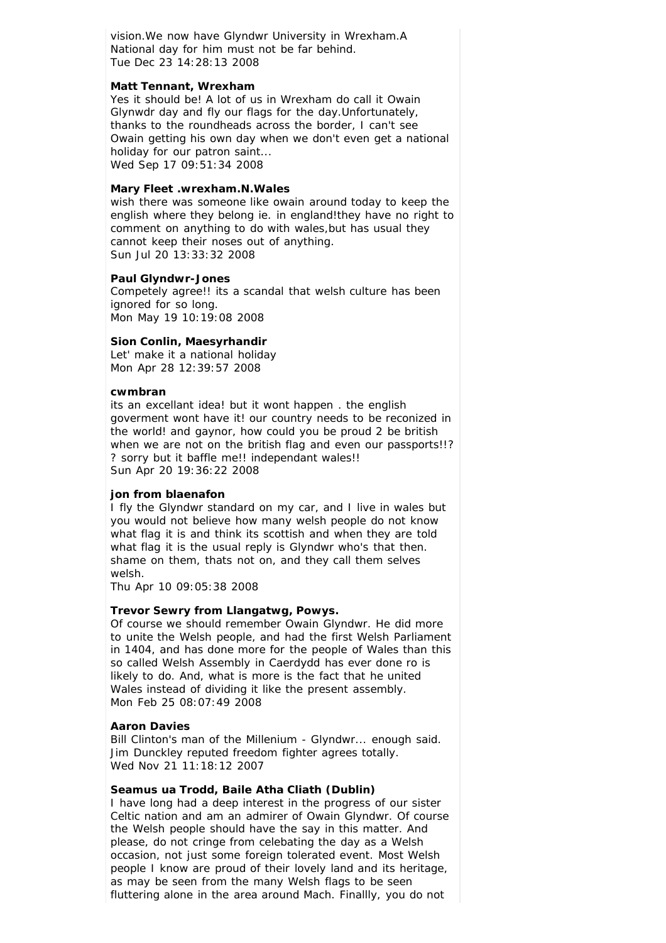vision.We now have Glyndwr University in Wrexham.A National day for him must not be far behind. Tue Dec 23 14:28:13 2008

# **Matt Tennant, Wrexham**

Yes it should be! A lot of us in Wrexham do call it Owain Glynwdr day and fly our flags for the day.Unfortunately, thanks to the roundheads across the border, I can't see Owain getting his own day when we don't even get a national holiday for our patron saint... Wed Sep 17 09:51:34 2008

# **Mary Fleet .wrexham.N.Wales**

wish there was someone like owain around today to keep the english where they belong ie. in england!they have no right to comment on anything to do with wales,but has usual they cannot keep their noses out of anything. Sun Jul 20 13:33:32 2008

# **Paul Glyndwr-Jones**

Competely agree!! its a scandal that welsh culture has been ignored for so long. Mon May 19 10:19:08 2008

# **Sion Conlin, Maesyrhandir**

Let' make it a national holiday Mon Apr 28 12:39:57 2008

#### **cwmbran**

its an excellant idea! but it wont happen . the english goverment wont have it! our country needs to be reconized in the world! and gaynor, how could you be proud 2 be british when we are not on the british flag and even our passports!!? ? sorry but it baffle me!! independant wales!! Sun Apr 20 19:36:22 2008

# **jon from blaenafon**

I fly the Glyndwr standard on my car, and I live in wales but you would not believe how many welsh people do not know what flag it is and think its scottish and when they are told what flag it is the usual reply is Glyndwr who's that then. shame on them, thats not on, and they call them selves welsh.

Thu Apr 10 09:05:38 2008

# **Trevor Sewry from Llangatwg, Powys.**

Of course we should remember Owain Glyndwr. He did more to unite the Welsh people, and had the first Welsh Parliament in 1404, and has done more for the people of Wales than this so called Welsh Assembly in Caerdydd has ever done ro is likely to do. And, what is more is the fact that he united Wales instead of dividing it like the present assembly. Mon Feb 25 08:07:49 2008

#### **Aaron Davies**

Bill Clinton's man of the Millenium - Glyndwr... enough said. Jim Dunckley reputed freedom fighter agrees totally. Wed Nov 21 11:18:12 2007

# **Seamus ua Trodd, Baile Atha Cliath (Dublin)**

I have long had a deep interest in the progress of our sister Celtic nation and am an admirer of Owain Glyndwr. Of course the Welsh people should have the say in this matter. And please, do not cringe from celebating the day as a Welsh occasion, not just some foreign tolerated event. Most Welsh people I know are proud of their lovely land and its heritage, as may be seen from the many Welsh flags to be seen fluttering alone in the area around Mach. Finallly, you do not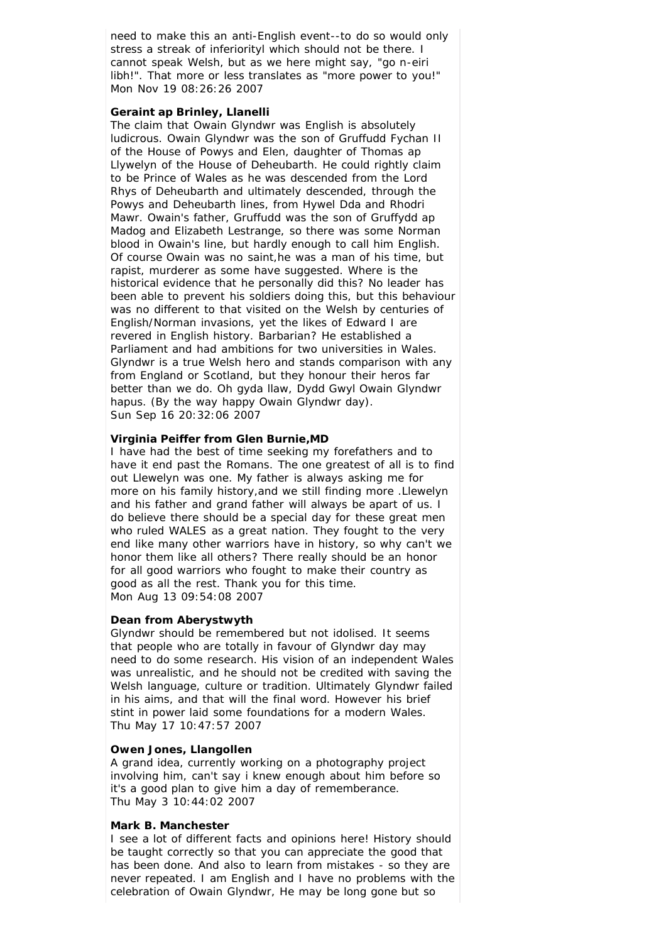need to make this an anti-English event--to do so would only stress a streak of inferiorityl which should not be there. I cannot speak Welsh, but as we here might say, "go n-eiri libh!". That more or less translates as "more power to you!" Mon Nov 19 08:26:26 2007

# **Geraint ap Brinley, Llanelli**

The claim that Owain Glyndwr was English is absolutely ludicrous. Owain Glyndwr was the son of Gruffudd Fychan II of the House of Powys and Elen, daughter of Thomas ap Llywelyn of the House of Deheubarth. He could rightly claim to be Prince of Wales as he was descended from the Lord Rhys of Deheubarth and ultimately descended, through the Powys and Deheubarth lines, from Hywel Dda and Rhodri Mawr. Owain's father, Gruffudd was the son of Gruffydd ap Madog and Elizabeth Lestrange, so there was some Norman blood in Owain's line, but hardly enough to call him English. Of course Owain was no saint,he was a man of his time, but rapist, murderer as some have suggested. Where is the historical evidence that he personally did this? No leader has been able to prevent his soldiers doing this, but this behaviour was no different to that visited on the Welsh by centuries of English/Norman invasions, yet the likes of Edward I are revered in English history. Barbarian? He established a Parliament and had ambitions for two universities in Wales. Glyndwr is a true Welsh hero and stands comparison with any from England or Scotland, but they honour their heros far better than we do. Oh gyda llaw, Dydd Gwyl Owain Glyndwr hapus. (By the way happy Owain Glyndwr day). Sun Sep 16 20:32:06 2007

# **Virginia Peiffer from Glen Burnie,MD**

I have had the best of time seeking my forefathers and to have it end past the Romans. The one greatest of all is to find out Llewelyn was one. My father is always asking me for more on his family history,and we still finding more .Llewelyn and his father and grand father will always be apart of us. I do believe there should be a special day for these great men who ruled WALES as a great nation. They fought to the very end like many other warriors have in history, so why can't we honor them like all others? There really should be an honor for all good warriors who fought to make their country as good as all the rest. Thank you for this time. Mon Aug 13 09:54:08 2007

# **Dean from Aberystwyth**

Glyndwr should be remembered but not idolised. It seems that people who are totally in favour of Glyndwr day may need to do some research. His vision of an independent Wales was unrealistic, and he should not be credited with saving the Welsh language, culture or tradition. Ultimately Glyndwr failed in his aims, and that will the final word. However his brief stint in power laid some foundations for a modern Wales. Thu May 17 10:47:57 2007

# **Owen Jones, Llangollen**

A grand idea, currently working on a photography project involving him, can't say i knew enough about him before so it's a good plan to give him a day of rememberance. Thu May 3 10:44:02 2007

#### **Mark B. Manchester**

I see a lot of different facts and opinions here! History should be taught correctly so that you can appreciate the good that has been done. And also to learn from mistakes - so they are never repeated. I am English and I have no problems with the celebration of Owain Glyndwr, He may be long gone but so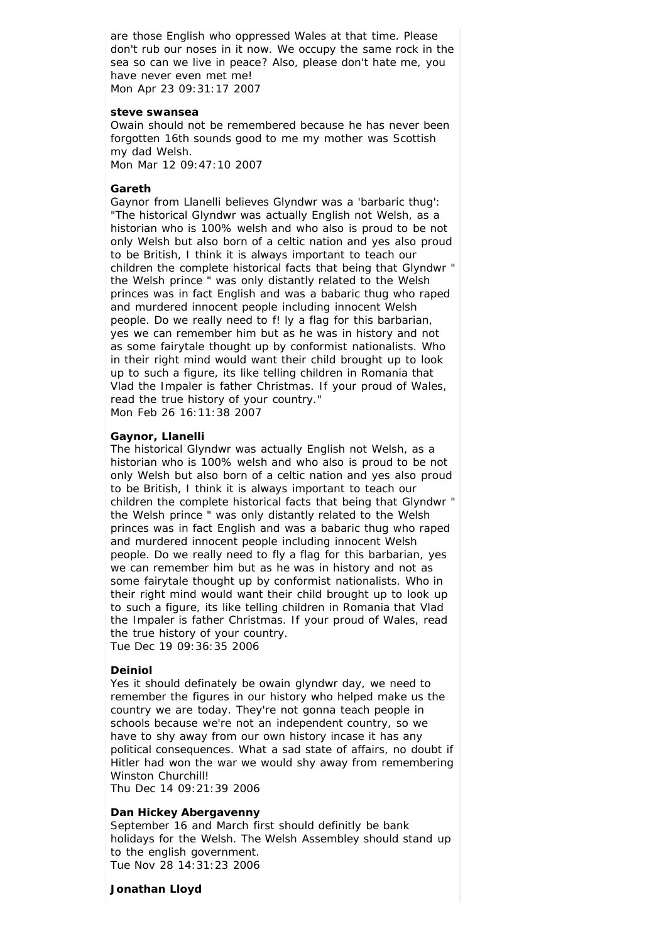are those English who oppressed Wales at that time. Please don't rub our noses in it now. We occupy the same rock in the sea so can we live in peace? Also, please don't hate me, you have never even met me! Mon Apr 23 09:31:17 2007

#### **steve swansea**

Owain should not be remembered because he has never been forgotten 16th sounds good to me my mother was Scottish my dad Welsh.

Mon Mar 12 09:47:10 2007

### **Gareth**

Gaynor from Llanelli believes Glyndwr was a 'barbaric thug': "The historical Glyndwr was actually English not Welsh, as a historian who is 100% welsh and who also is proud to be not only Welsh but also born of a celtic nation and yes also proud to be British, I think it is always important to teach our children the complete historical facts that being that Glyndwr " the Welsh prince " was only distantly related to the Welsh princes was in fact English and was a babaric thug who raped and murdered innocent people including innocent Welsh people. Do we really need to f! ly a flag for this barbarian, yes we can remember him but as he was in history and not as some fairytale thought up by conformist nationalists. Who in their right mind would want their child brought up to look up to such a figure, its like telling children in Romania that Vlad the Impaler is father Christmas. If your proud of Wales, read the true history of your country." Mon Feb 26 16:11:38 2007

#### **Gaynor, Llanelli**

The historical Glyndwr was actually English not Welsh, as a historian who is 100% welsh and who also is proud to be not only Welsh but also born of a celtic nation and yes also proud to be British, I think it is always important to teach our children the complete historical facts that being that Glyndwr " the Welsh prince " was only distantly related to the Welsh princes was in fact English and was a babaric thug who raped and murdered innocent people including innocent Welsh people. Do we really need to fly a flag for this barbarian, yes we can remember him but as he was in history and not as some fairytale thought up by conformist nationalists. Who in their right mind would want their child brought up to look up to such a figure, its like telling children in Romania that Vlad the Impaler is father Christmas. If your proud of Wales, read the true history of your country.

Tue Dec 19 09:36:35 2006

# **Deiniol**

Yes it should definately be owain glyndwr day, we need to remember the figures in our history who helped make us the country we are today. They're not gonna teach people in schools because we're not an independent country, so we have to shy away from our own history incase it has any political consequences. What a sad state of affairs, no doubt if Hitler had won the war we would shy away from remembering Winston Churchill!

Thu Dec 14 09:21:39 2006

# **Dan Hickey Abergavenny**

September 16 and March first should definitly be bank holidays for the Welsh. The Welsh Assembley should stand up to the english government. Tue Nov 28 14:31:23 2006

#### **Jonathan Lloyd**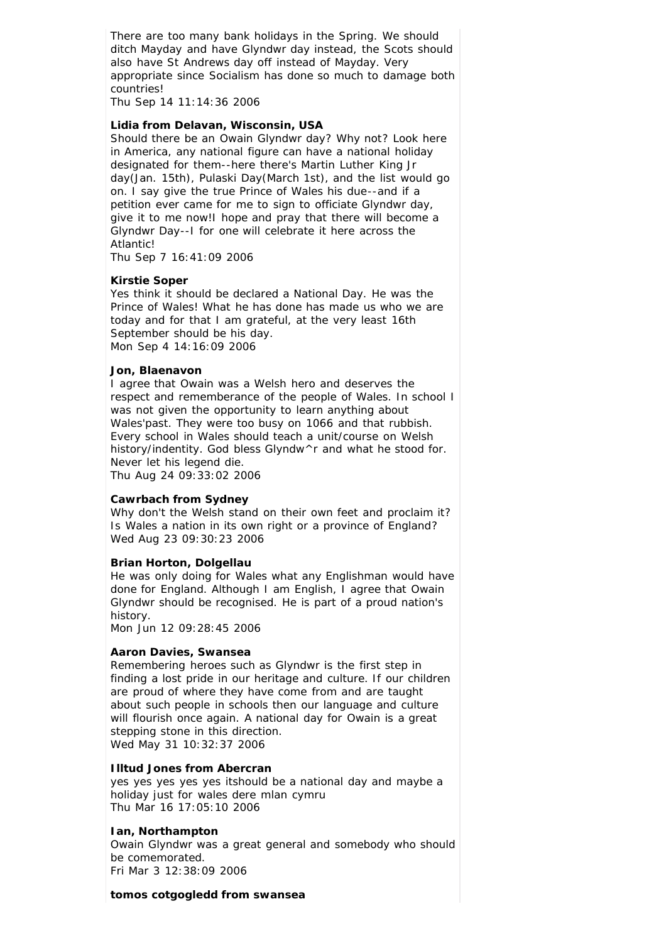There are too many bank holidays in the Spring. We should ditch Mayday and have Glyndwr day instead, the Scots should also have St Andrews day off instead of Mayday. Very appropriate since Socialism has done so much to damage both countries!

Thu Sep 14 11:14:36 2006

# **Lidia from Delavan, Wisconsin, USA**

Should there be an Owain Glyndwr day? Why not? Look here in America, any national figure can have a national holiday designated for them--here there's Martin Luther King Jr day(Jan. 15th), Pulaski Day(March 1st), and the list would go on. I say give the true Prince of Wales his due--and if a petition ever came for me to sign to officiate Glyndwr day, give it to me now!I hope and pray that there will become a Glyndwr Day--I for one will celebrate it here across the Atlantic!

Thu Sep 7 16:41:09 2006

# **Kirstie Soper**

Yes think it should be declared a National Day. He was the Prince of Wales! What he has done has made us who we are today and for that I am grateful, at the very least 16th September should be his day. Mon Sep 4 14:16:09 2006

#### **Jon, Blaenavon**

I agree that Owain was a Welsh hero and deserves the respect and rememberance of the people of Wales. In school I was not given the opportunity to learn anything about Wales'past. They were too busy on 1066 and that rubbish. Every school in Wales should teach a unit/course on Welsh history/indentity. God bless Glyndw^r and what he stood for. Never let his legend die.

Thu Aug 24 09:33:02 2006

#### **Cawrbach from Sydney**

Why don't the Welsh stand on their own feet and proclaim it? Is Wales a nation in its own right or a province of England? Wed Aug 23 09:30:23 2006

#### **Brian Horton, Dolgellau**

He was only doing for Wales what any Englishman would have done for England. Although I am English, I agree that Owain Glyndwr should be recognised. He is part of a proud nation's history.

Mon Jun 12 09:28:45 2006

#### **Aaron Davies, Swansea**

Remembering heroes such as Glyndwr is the first step in finding a lost pride in our heritage and culture. If our children are proud of where they have come from and are taught about such people in schools then our language and culture will flourish once again. A national day for Owain is a great stepping stone in this direction. Wed May 31 10:32:37 2006

# **Illtud Jones from Abercran**

yes yes yes yes yes itshould be a national day and maybe a holiday just for wales dere mlan cymru Thu Mar 16 17:05:10 2006

# **Ian, Northampton**

Owain Glyndwr was a great general and somebody who should be comemorated.

Fri Mar 3 12:38:09 2006

#### **tomos cotgogledd from swansea**